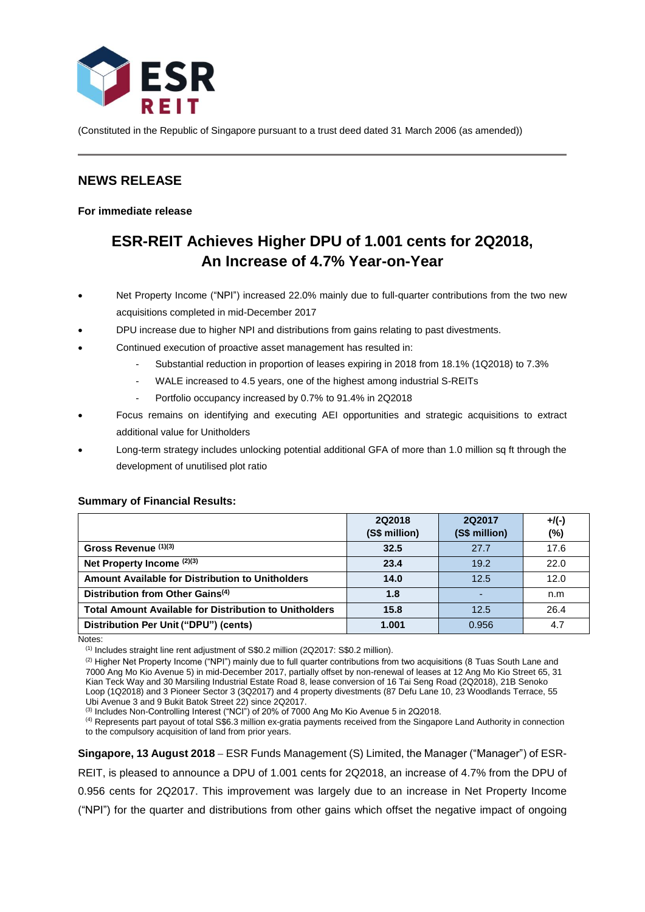

(Constituted in the Republic of Singapore pursuant to a trust deed dated 31 March 2006 (as amended))

# **NEWS RELEASE**

**For immediate release**

# **ESR-REIT Achieves Higher DPU of 1.001 cents for 2Q2018, An Increase of 4.7% Year-on-Year**

- Net Property Income ("NPI") increased 22.0% mainly due to full-quarter contributions from the two new acquisitions completed in mid-December 2017
- DPU increase due to higher NPI and distributions from gains relating to past divestments.
- Continued execution of proactive asset management has resulted in:
	- Substantial reduction in proportion of leases expiring in 2018 from 18.1% (1Q2018) to 7.3%
	- WALE increased to 4.5 years, one of the highest among industrial S-REITs
	- Portfolio occupancy increased by 0.7% to 91.4% in 2Q2018
- Focus remains on identifying and executing AEI opportunities and strategic acquisitions to extract additional value for Unitholders
- Long-term strategy includes unlocking potential additional GFA of more than 1.0 million sq ft through the development of unutilised plot ratio

#### **Summary of Financial Results:**

|                                                               | 2Q2018<br>(S\$ million) | 2Q2017<br>(S\$ million) | $+$ /(-)<br>(%) |
|---------------------------------------------------------------|-------------------------|-------------------------|-----------------|
| Gross Revenue (1)(3)                                          | 32.5                    | 27.7                    | 17.6            |
| Net Property Income (2)(3)                                    | 23.4                    | 19.2                    | 22.0            |
| Amount Available for Distribution to Unitholders              | 14.0                    | 12.5                    | 12.0            |
| Distribution from Other Gains <sup>(4)</sup>                  | 1.8                     |                         | n.m             |
| <b>Total Amount Available for Distribution to Unitholders</b> | 15.8                    | 12.5                    | 26.4            |
| Distribution Per Unit ("DPU") (cents)                         | 1.001                   | 0.956                   | 4.7             |

Notes:

(1) Includes straight line rent adjustment of S\$0.2 million (2Q2017: S\$0.2 million).

(2) Higher Net Property Income ("NPI") mainly due to full quarter contributions from two acquisitions (8 Tuas South Lane and 7000 Ang Mo Kio Avenue 5) in mid-December 2017, partially offset by non-renewal of leases at 12 Ang Mo Kio Street 65, 31 Kian Teck Way and 30 Marsiling Industrial Estate Road 8, lease conversion of 16 Tai Seng Road (2Q2018), 21B Senoko Loop (1Q2018) and 3 Pioneer Sector 3 (3Q2017) and 4 property divestments (87 Defu Lane 10, 23 Woodlands Terrace, 55 Ubi Avenue 3 and 9 Bukit Batok Street 22) since 2Q2017.

(3) Includes Non-Controlling Interest ("NCI") of 20% of 7000 Ang Mo Kio Avenue 5 in 2Q2018.

(4) Represents part payout of total S\$6.3 million ex-gratia payments received from the Singapore Land Authority in connection to the compulsory acquisition of land from prior years.

**Singapore, 13 August 2018** ESR Funds Management (S) Limited, the Manager ("Manager") of ESR-REIT, is pleased to announce a DPU of 1.001 cents for 2Q2018, an increase of 4.7% from the DPU of 0.956 cents for 2Q2017. This improvement was largely due to an increase in Net Property Income ("NPI") for the quarter and distributions from other gains which offset the negative impact of ongoing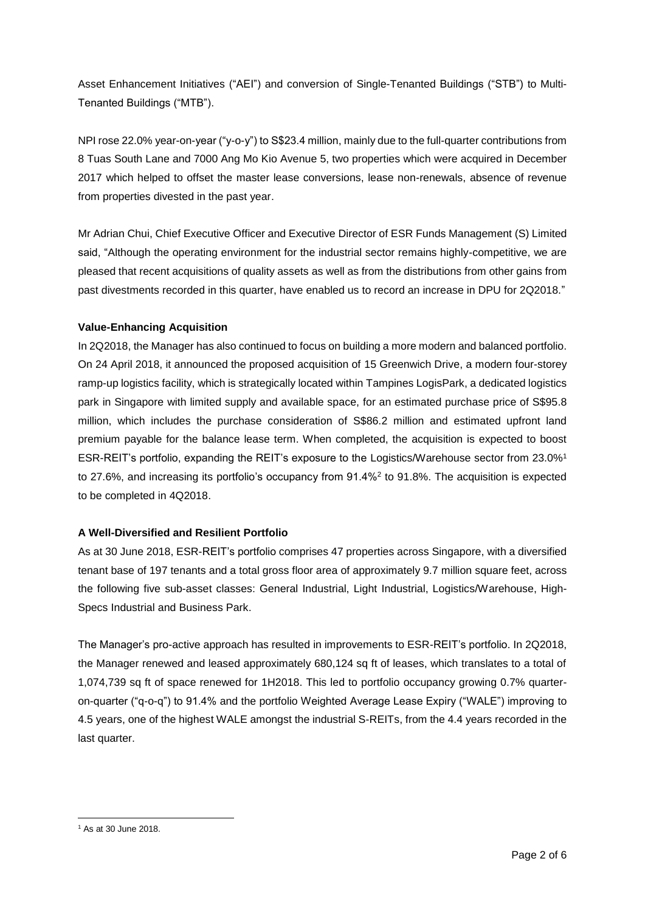Asset Enhancement Initiatives ("AEI") and conversion of Single-Tenanted Buildings ("STB") to Multi-Tenanted Buildings ("MTB").

NPI rose 22.0% year-on-year ("y-o-y") to S\$23.4 million, mainly due to the full-quarter contributions from 8 Tuas South Lane and 7000 Ang Mo Kio Avenue 5, two properties which were acquired in December 2017 which helped to offset the master lease conversions, lease non-renewals, absence of revenue from properties divested in the past year.

Mr Adrian Chui, Chief Executive Officer and Executive Director of ESR Funds Management (S) Limited said, "Although the operating environment for the industrial sector remains highly-competitive, we are pleased that recent acquisitions of quality assets as well as from the distributions from other gains from past divestments recorded in this quarter, have enabled us to record an increase in DPU for 2Q2018."

# **Value-Enhancing Acquisition**

In 2Q2018, the Manager has also continued to focus on building a more modern and balanced portfolio. On 24 April 2018, it announced the proposed acquisition of 15 Greenwich Drive, a modern four-storey ramp-up logistics facility, which is strategically located within Tampines LogisPark, a dedicated logistics park in Singapore with limited supply and available space, for an estimated purchase price of S\$95.8 million, which includes the purchase consideration of S\$86.2 million and estimated upfront land premium payable for the balance lease term. When completed, the acquisition is expected to boost ESR-REIT's portfolio, expanding the REIT's exposure to the Logistics/Warehouse sector from 23.0%<sup>1</sup> to 27.6%, and increasing its portfolio's occupancy from 91.4%<sup>2</sup> to 91.8%. The acquisition is expected to be completed in 4Q2018.

# **A Well-Diversified and Resilient Portfolio**

As at 30 June 2018, ESR-REIT's portfolio comprises 47 properties across Singapore, with a diversified tenant base of 197 tenants and a total gross floor area of approximately 9.7 million square feet, across the following five sub-asset classes: General Industrial, Light Industrial, Logistics/Warehouse, High-Specs Industrial and Business Park.

The Manager's pro-active approach has resulted in improvements to ESR-REIT's portfolio. In 2Q2018, the Manager renewed and leased approximately 680,124 sq ft of leases, which translates to a total of 1,074,739 sq ft of space renewed for 1H2018. This led to portfolio occupancy growing 0.7% quarteron-quarter ("q-o-q") to 91.4% and the portfolio Weighted Average Lease Expiry ("WALE") improving to 4.5 years, one of the highest WALE amongst the industrial S-REITs, from the 4.4 years recorded in the last quarter.

**<sup>.</sup>** <sup>1</sup> As at 30 June 2018.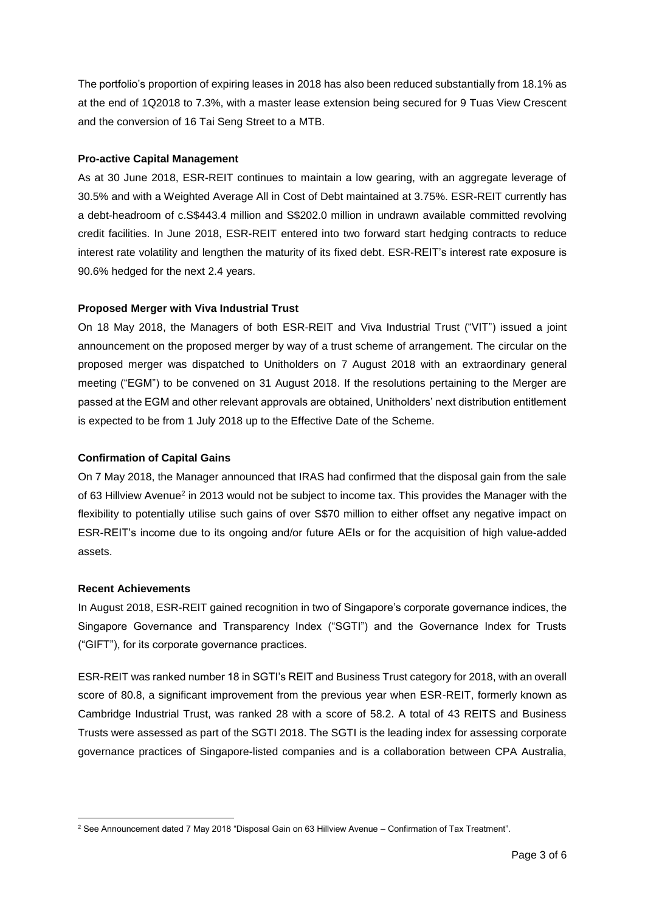The portfolio's proportion of expiring leases in 2018 has also been reduced substantially from 18.1% as at the end of 1Q2018 to 7.3%, with a master lease extension being secured for 9 Tuas View Crescent and the conversion of 16 Tai Seng Street to a MTB.

### **Pro-active Capital Management**

As at 30 June 2018, ESR-REIT continues to maintain a low gearing, with an aggregate leverage of 30.5% and with a Weighted Average All in Cost of Debt maintained at 3.75%. ESR-REIT currently has a debt-headroom of c.S\$443.4 million and S\$202.0 million in undrawn available committed revolving credit facilities. In June 2018, ESR-REIT entered into two forward start hedging contracts to reduce interest rate volatility and lengthen the maturity of its fixed debt. ESR-REIT's interest rate exposure is 90.6% hedged for the next 2.4 years.

#### **Proposed Merger with Viva Industrial Trust**

On 18 May 2018, the Managers of both ESR-REIT and Viva Industrial Trust ("VIT") issued a joint announcement on the proposed merger by way of a trust scheme of arrangement. The circular on the proposed merger was dispatched to Unitholders on 7 August 2018 with an extraordinary general meeting ("EGM") to be convened on 31 August 2018. If the resolutions pertaining to the Merger are passed at the EGM and other relevant approvals are obtained, Unitholders' next distribution entitlement is expected to be from 1 July 2018 up to the Effective Date of the Scheme.

#### **Confirmation of Capital Gains**

On 7 May 2018, the Manager announced that IRAS had confirmed that the disposal gain from the sale of 63 Hillview Avenue<sup>2</sup> in 2013 would not be subject to income tax. This provides the Manager with the flexibility to potentially utilise such gains of over S\$70 million to either offset any negative impact on ESR-REIT's income due to its ongoing and/or future AEIs or for the acquisition of high value-added assets.

#### **Recent Achievements**

In August 2018, ESR-REIT gained recognition in two of Singapore's corporate governance indices, the Singapore Governance and Transparency Index ("SGTI") and the Governance Index for Trusts ("GIFT"), for its corporate governance practices.

ESR-REIT was ranked number 18 in SGTI's REIT and Business Trust category for 2018, with an overall score of 80.8, a significant improvement from the previous year when ESR-REIT, formerly known as Cambridge Industrial Trust, was ranked 28 with a score of 58.2. A total of 43 REITS and Business Trusts were assessed as part of the SGTI 2018. The SGTI is the leading index for assessing corporate governance practices of Singapore-listed companies and is a collaboration between CPA Australia,

**<sup>.</sup>** <sup>2</sup> See Announcement dated 7 May 2018 "Disposal Gain on 63 Hillview Avenue – Confirmation of Tax Treatment".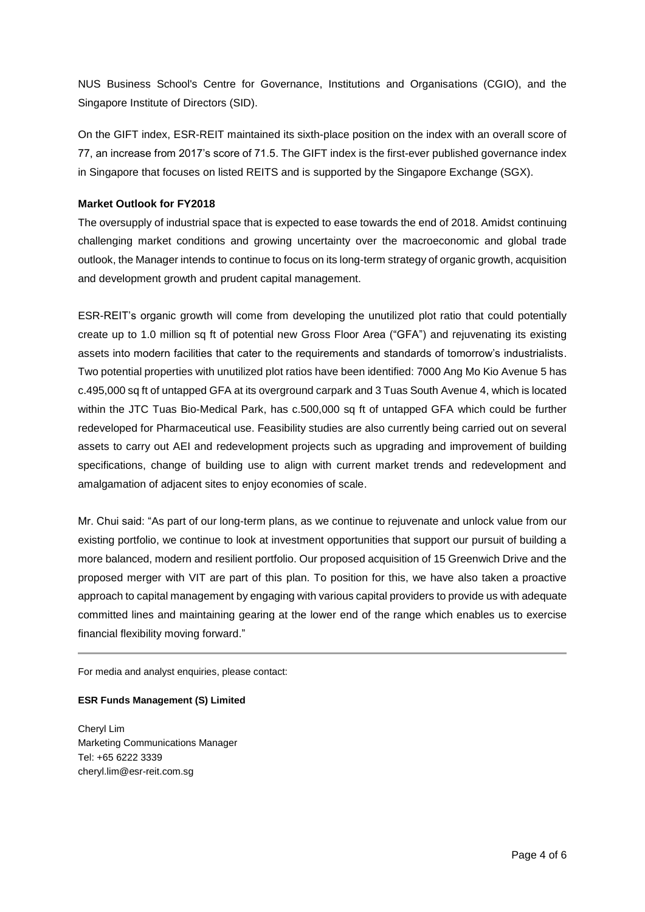NUS Business School's Centre for Governance, Institutions and Organisations (CGIO), and the Singapore Institute of Directors (SID).

On the GIFT index, ESR-REIT maintained its sixth-place position on the index with an overall score of 77, an increase from 2017's score of 71.5. The GIFT index is the first-ever published governance index in Singapore that focuses on listed REITS and is supported by the Singapore Exchange (SGX).

# **Market Outlook for FY2018**

The oversupply of industrial space that is expected to ease towards the end of 2018. Amidst continuing challenging market conditions and growing uncertainty over the macroeconomic and global trade outlook, the Manager intends to continue to focus on its long-term strategy of organic growth, acquisition and development growth and prudent capital management.

ESR-REIT's organic growth will come from developing the unutilized plot ratio that could potentially create up to 1.0 million sq ft of potential new Gross Floor Area ("GFA") and rejuvenating its existing assets into modern facilities that cater to the requirements and standards of tomorrow's industrialists. Two potential properties with unutilized plot ratios have been identified: 7000 Ang Mo Kio Avenue 5 has c.495,000 sq ft of untapped GFA at its overground carpark and 3 Tuas South Avenue 4, which is located within the JTC Tuas Bio-Medical Park, has c.500,000 sq ft of untapped GFA which could be further redeveloped for Pharmaceutical use. Feasibility studies are also currently being carried out on several assets to carry out AEI and redevelopment projects such as upgrading and improvement of building specifications, change of building use to align with current market trends and redevelopment and amalgamation of adjacent sites to enjoy economies of scale.

Mr. Chui said: "As part of our long-term plans, as we continue to rejuvenate and unlock value from our existing portfolio, we continue to look at investment opportunities that support our pursuit of building a more balanced, modern and resilient portfolio. Our proposed acquisition of 15 Greenwich Drive and the proposed merger with VIT are part of this plan. To position for this, we have also taken a proactive approach to capital management by engaging with various capital providers to provide us with adequate committed lines and maintaining gearing at the lower end of the range which enables us to exercise financial flexibility moving forward."

For media and analyst enquiries, please contact:

#### **ESR Funds Management (S) Limited**

Cheryl Lim Marketing Communications Manager Tel: +65 6222 3339 cheryl.lim@esr-reit.com.sg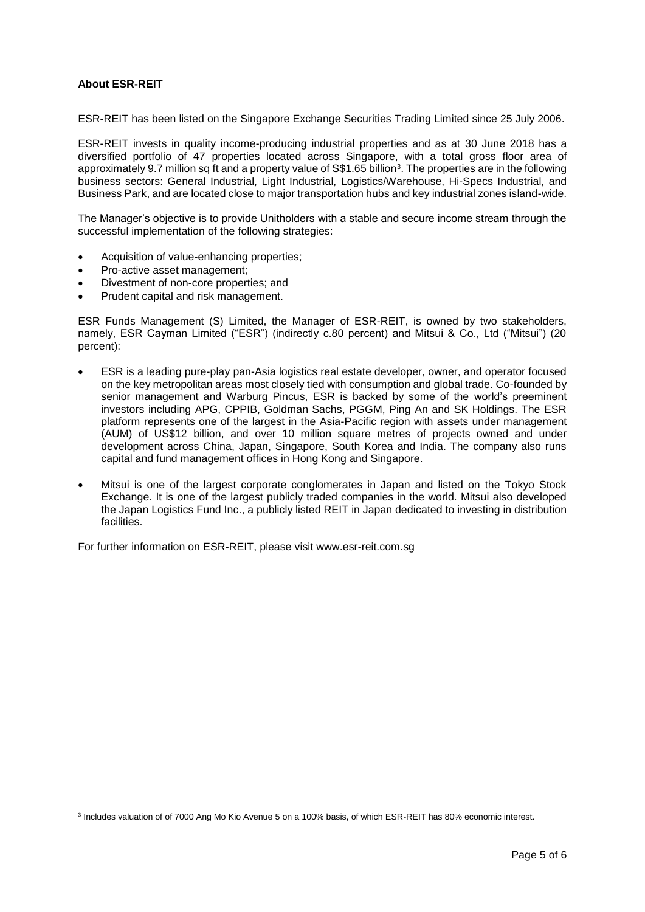# **About ESR-REIT**

ESR-REIT has been listed on the Singapore Exchange Securities Trading Limited since 25 July 2006.

ESR-REIT invests in quality income-producing industrial properties and as at 30 June 2018 has a diversified portfolio of 47 properties located across Singapore, with a total gross floor area of approximately 9.7 million sq ft and a property value of S\$1.65 billion<sup>3</sup>. The properties are in the following business sectors: General Industrial, Light Industrial, Logistics/Warehouse, Hi-Specs Industrial, and Business Park, and are located close to major transportation hubs and key industrial zones island-wide.

The Manager's objective is to provide Unitholders with a stable and secure income stream through the successful implementation of the following strategies:

- Acquisition of value-enhancing properties;
- Pro-active asset management;
- Divestment of non-core properties; and
- Prudent capital and risk management.

ESR Funds Management (S) Limited, the Manager of ESR-REIT, is owned by two stakeholders, namely, ESR Cayman Limited ("ESR") (indirectly c.80 percent) and Mitsui & Co., Ltd ("Mitsui") (20 percent):

- ESR is a leading pure-play pan-Asia logistics real estate developer, owner, and operator focused on the key metropolitan areas most closely tied with consumption and global trade. Co-founded by senior management and Warburg Pincus, ESR is backed by some of the world's preeminent investors including APG, CPPIB, Goldman Sachs, PGGM, Ping An and SK Holdings. The ESR platform represents one of the largest in the Asia-Pacific region with assets under management (AUM) of US\$12 billion, and over 10 million square metres of projects owned and under development across China, Japan, Singapore, South Korea and India. The company also runs capital and fund management offices in Hong Kong and Singapore.
- Mitsui is one of the largest corporate conglomerates in Japan and listed on the Tokyo Stock Exchange. It is one of the largest publicly traded companies in the world. Mitsui also developed the Japan Logistics Fund Inc., a publicly listed REIT in Japan dedicated to investing in distribution facilities.

For further information on ESR-REIT, please visit www.esr-reit.com.sg

<sup>1</sup> 3 Includes valuation of of 7000 Ang Mo Kio Avenue 5 on a 100% basis, of which ESR-REIT has 80% economic interest.